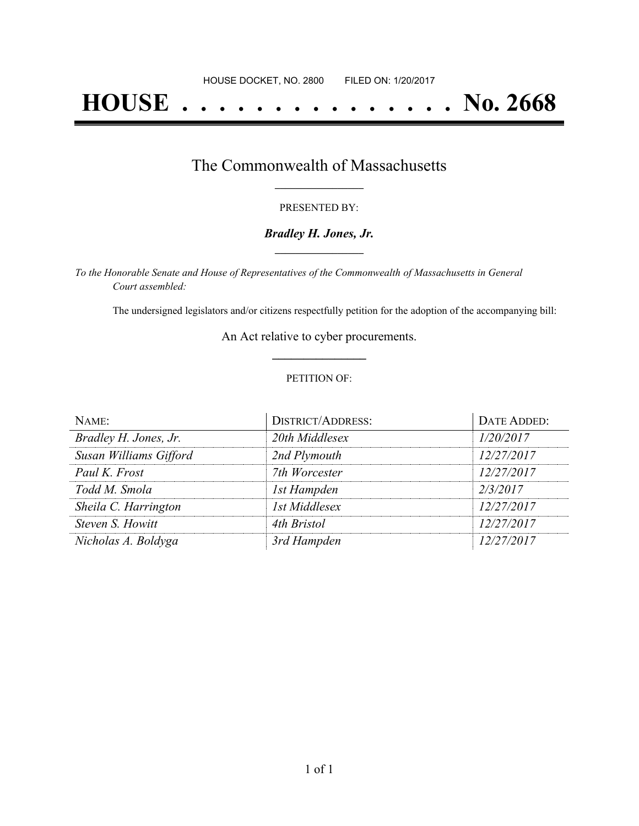# **HOUSE . . . . . . . . . . . . . . . No. 2668**

### The Commonwealth of Massachusetts **\_\_\_\_\_\_\_\_\_\_\_\_\_\_\_\_\_**

#### PRESENTED BY:

#### *Bradley H. Jones, Jr.* **\_\_\_\_\_\_\_\_\_\_\_\_\_\_\_\_\_**

*To the Honorable Senate and House of Representatives of the Commonwealth of Massachusetts in General Court assembled:*

The undersigned legislators and/or citizens respectfully petition for the adoption of the accompanying bill:

An Act relative to cyber procurements. **\_\_\_\_\_\_\_\_\_\_\_\_\_\_\_**

#### PETITION OF:

| NAME:                  | <b>DISTRICT/ADDRESS:</b> | DATE ADDED: |
|------------------------|--------------------------|-------------|
| Bradley H. Jones, Jr.  | 20th Middlesex           | 1/20/2017   |
| Susan Williams Gifford | 2nd Plymouth             | 12/27/2017  |
| Paul K. Frost          | 7th Worcester            | 12/27/2017  |
| Todd M. Smola          | 1st Hampden              | 2/3/2017    |
| Sheila C. Harrington   | 1st Middlesex            | 12/27/2017  |
| Steven S. Howitt       | 4th Bristol              | 12/27/2017  |
| Nicholas A. Boldyga    | 3rd Hampden              | 12/27/2017  |